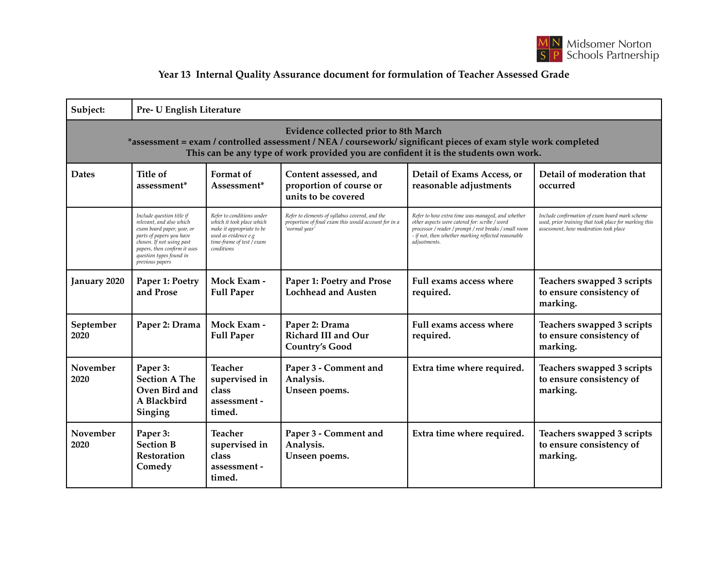

## **Year 13 Internal Quality Assurance document for formulation of Teacher Assessed Grade**

| Subject:                                                                                                                                                                                                                                        | Pre- U English Literature                                                                                                                                                                                                  |                                                                                                                                                        |                                                                                                                         |                                                                                                                                                                                                                                    |                                                                                                                                                  |  |  |  |  |
|-------------------------------------------------------------------------------------------------------------------------------------------------------------------------------------------------------------------------------------------------|----------------------------------------------------------------------------------------------------------------------------------------------------------------------------------------------------------------------------|--------------------------------------------------------------------------------------------------------------------------------------------------------|-------------------------------------------------------------------------------------------------------------------------|------------------------------------------------------------------------------------------------------------------------------------------------------------------------------------------------------------------------------------|--------------------------------------------------------------------------------------------------------------------------------------------------|--|--|--|--|
| Evidence collected prior to 8th March<br>*assessment = exam / controlled assessment / NEA / coursework/ significant pieces of exam style work completed<br>This can be any type of work provided you are confident it is the students own work. |                                                                                                                                                                                                                            |                                                                                                                                                        |                                                                                                                         |                                                                                                                                                                                                                                    |                                                                                                                                                  |  |  |  |  |
| <b>Dates</b>                                                                                                                                                                                                                                    | Title of<br>assessment <sup>*</sup>                                                                                                                                                                                        | Format of<br>Assessment*                                                                                                                               | Content assessed, and<br>proportion of course or<br>units to be covered                                                 | Detail of Exams Access, or<br>reasonable adjustments                                                                                                                                                                               | Detail of moderation that<br>occurred                                                                                                            |  |  |  |  |
|                                                                                                                                                                                                                                                 | Include question title if<br>relevant, and also which<br>exam board paper, year, or<br>parts of papers you have<br>chosen. If not using past<br>papers, then confirm it uses<br>question types found in<br>previous papers | Refer to conditions under<br>which it took place which<br>make it appropriate to be<br>used as evidence e.g<br>time-frame of test / exam<br>conditions | Refer to elements of syllabus covered, and the<br>proportion of final exam this would account for in a<br>'normal year' | Refer to how extra time was managed, and whether<br>other aspects were catered for: scribe / word<br>processor / reader / prompt / rest breaks / small room<br>- if not, then whether marking reflected reasonable<br>adjustments. | Include confirmation of exam board mark scheme<br>used, prior training that took place for marking this<br>assessment, how moderation took place |  |  |  |  |
| January 2020                                                                                                                                                                                                                                    | Paper 1: Poetry<br>and Prose                                                                                                                                                                                               | Mock Exam -<br><b>Full Paper</b>                                                                                                                       | Paper 1: Poetry and Prose<br><b>Lochhead and Austen</b>                                                                 | Full exams access where<br>required.                                                                                                                                                                                               | Teachers swapped 3 scripts<br>to ensure consistency of<br>marking.                                                                               |  |  |  |  |
| September<br>2020                                                                                                                                                                                                                               | Paper 2: Drama                                                                                                                                                                                                             | Mock Exam -<br><b>Full Paper</b>                                                                                                                       | Paper 2: Drama<br><b>Richard III and Our</b><br><b>Country's Good</b>                                                   | Full exams access where<br>required.                                                                                                                                                                                               | Teachers swapped 3 scripts<br>to ensure consistency of<br>marking.                                                                               |  |  |  |  |
| November<br>2020                                                                                                                                                                                                                                | Paper 3:<br><b>Section A The</b><br>Oven Bird and<br>A Blackbird<br>Singing                                                                                                                                                | <b>Teacher</b><br>supervised in<br>class<br>assessment -<br>timed.                                                                                     | Paper 3 - Comment and<br>Analysis.<br>Unseen poems.                                                                     | Extra time where required.                                                                                                                                                                                                         | Teachers swapped 3 scripts<br>to ensure consistency of<br>marking.                                                                               |  |  |  |  |
| November<br>2020                                                                                                                                                                                                                                | Paper 3:<br><b>Section B</b><br>Restoration<br>Comedy                                                                                                                                                                      | <b>Teacher</b><br>supervised in<br>class<br>assessment -<br>timed.                                                                                     | Paper 3 - Comment and<br>Analysis.<br>Unseen poems.                                                                     | Extra time where required.                                                                                                                                                                                                         | Teachers swapped 3 scripts<br>to ensure consistency of<br>marking.                                                                               |  |  |  |  |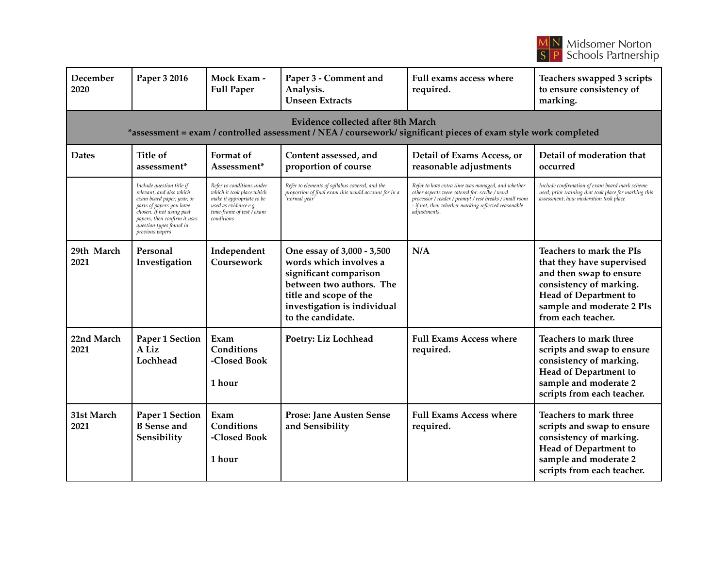

| December<br>2020                                                                                                                                     | Paper 3 2016                                                                                                                                                                                                               | Mock Exam -<br><b>Full Paper</b>                                                                                                                       | Paper 3 - Comment and<br>Analysis.<br><b>Unseen Extracts</b>                                                                                                                             | Full exams access where<br>required.                                                                                                                                                                                               | Teachers swapped 3 scripts<br>to ensure consistency of<br>marking.                                                                                                                      |  |  |  |  |
|------------------------------------------------------------------------------------------------------------------------------------------------------|----------------------------------------------------------------------------------------------------------------------------------------------------------------------------------------------------------------------------|--------------------------------------------------------------------------------------------------------------------------------------------------------|------------------------------------------------------------------------------------------------------------------------------------------------------------------------------------------|------------------------------------------------------------------------------------------------------------------------------------------------------------------------------------------------------------------------------------|-----------------------------------------------------------------------------------------------------------------------------------------------------------------------------------------|--|--|--|--|
| Evidence collected after 8th March<br>*assessment = exam / controlled assessment / NEA / coursework/ significant pieces of exam style work completed |                                                                                                                                                                                                                            |                                                                                                                                                        |                                                                                                                                                                                          |                                                                                                                                                                                                                                    |                                                                                                                                                                                         |  |  |  |  |
| <b>Dates</b>                                                                                                                                         | <b>Title of</b><br>assessment*                                                                                                                                                                                             | Format of<br>Assessment*                                                                                                                               | Content assessed, and<br>proportion of course                                                                                                                                            | Detail of Exams Access, or<br>reasonable adjustments                                                                                                                                                                               | Detail of moderation that<br>occurred                                                                                                                                                   |  |  |  |  |
|                                                                                                                                                      | Include question title if<br>relevant, and also which<br>exam board paper, year, or<br>parts of papers you have<br>chosen. If not using past<br>papers, then confirm it uses<br>question types found in<br>previous papers | Refer to conditions under<br>which it took place which<br>make it appropriate to be<br>used as evidence e.g<br>time-frame of test / exam<br>conditions | Refer to elements of syllabus covered, and the<br>proportion of final exam this would account for in a<br>'normal year'                                                                  | Refer to how extra time was managed, and whether<br>other aspects were catered for: scribe / word<br>processor / reader / prompt / rest breaks / small room<br>- if not, then whether marking reflected reasonable<br>adjustments. | Include confirmation of exam board mark scheme<br>used, prior training that took place for marking this<br>assessment, how moderation took place                                        |  |  |  |  |
| 29th March<br>2021                                                                                                                                   | Personal<br>Investigation                                                                                                                                                                                                  | Independent<br>Coursework                                                                                                                              | One essay of 3,000 - 3,500<br>words which involves a<br>significant comparison<br>between two authors. The<br>title and scope of the<br>investigation is individual<br>to the candidate. | N/A                                                                                                                                                                                                                                | Teachers to mark the PIs<br>that they have supervised<br>and then swap to ensure<br>consistency of marking.<br>Head of Department to<br>sample and moderate 2 PIs<br>from each teacher. |  |  |  |  |
| 22nd March<br>2021                                                                                                                                   | Paper 1 Section<br>A Liz<br>Lochhead                                                                                                                                                                                       | Exam<br>Conditions<br>-Closed Book<br>1 hour                                                                                                           | Poetry: Liz Lochhead                                                                                                                                                                     | <b>Full Exams Access where</b><br>required.                                                                                                                                                                                        | Teachers to mark three<br>scripts and swap to ensure<br>consistency of marking.<br>Head of Department to<br>sample and moderate 2<br>scripts from each teacher.                         |  |  |  |  |
| 31st March<br>2021                                                                                                                                   | Paper 1 Section<br><b>B</b> Sense and<br>Sensibility                                                                                                                                                                       | Exam<br>Conditions<br>-Closed Book<br>1 hour                                                                                                           | Prose: Jane Austen Sense<br>and Sensibility                                                                                                                                              | <b>Full Exams Access where</b><br>required.                                                                                                                                                                                        | Teachers to mark three<br>scripts and swap to ensure<br>consistency of marking.<br>Head of Department to<br>sample and moderate 2<br>scripts from each teacher.                         |  |  |  |  |